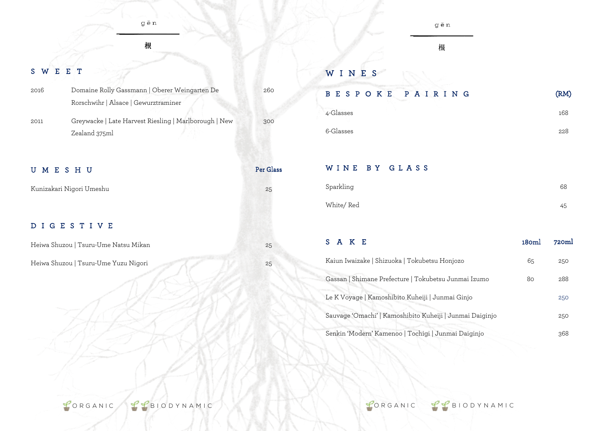根

## SWEE T

| 2016 | Domaine Rolly Gassmann   Oberer Weingarten De         |
|------|-------------------------------------------------------|
|      | Rorschwihr   Alsace   Gewurztraminer                  |
| 2011 | Greywacke   Late Harvest Riesling   Marlborough   New |
|      | Zealand 375ml                                         |

#### UMESHU Per Glass

Kunizakari Nigori Umeshu 25

#### DIGESTIV E

Heiwa Shuzou | Tsuru-Ume Natsu Mikan 25

Heiwa Shuzou | Tsuru-Ume Yuzu Nigori 25

# gēn

根

#### WINE S

260

300

# BESPOKE PAIRING (RM)

| 4-Glasses | 168 |
|-----------|-----|
| 6-Glasses | 228 |

#### WINE BY GLAS S

| Sparkling  | 68 |
|------------|----|
| White/ Red | 45 |

# S A K E 180ml 720ml Kaiun Iwaizake | Shizuoka | Tokubetsu Honjozo 65 250 Gassan | Shimane Prefecture | Tokubetsu Junmai Izumo 80 288 Le K Voyage | Kamoshibito Kuheiji | Junmai Ginjo 250 Sauvage 'Omachi' | Kamoshibito Kuheiji | Junmai Daiginjo 250 Senkin 'Modern' Kamenoo | Tochigi | Junmai Daiginjo 368

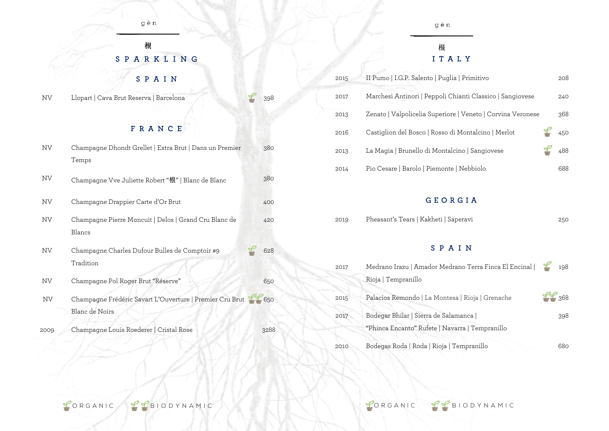### 根 SPARKLIN G

### SPAI N

NV Llopart | Cava Brut Reserva | Barcelona 398

#### FRANC E

| NV.  | Champagne Dhondt Grellet   Extra Brut   Dans un Premier<br>Temps           | 380  |
|------|----------------------------------------------------------------------------|------|
| NV   | Champagne Vve Juliette Robert "根"   Blanc de Blanc                         | 380  |
| NV.  | Champagne Drappier Carte d'Or Brut                                         | 400  |
| NV.  | Champagne Pierre Moncuit   Delos   Grand Cru Blanc de<br>Blancs            | 420  |
| NV.  | Champagne Charles Dufour Bulles de Comptoir #9<br>Tradition                | 628  |
| NV.  | Champagne Pol Roger Brut "Réserve"                                         | 650  |
| NV   | Champagne Frédéric Savart L'Ouverture   Premier Cru Brut<br>Blanc de Noirs | 650  |
| 2009 | Champagne Louis Roederer   Cristal Rose                                    | 3288 |

#### gēn

#### 根 I T A L Y

| 2015 | II Pumo   I.G.P. Salento   Puglia   Primitivo               | 208 |
|------|-------------------------------------------------------------|-----|
| 2017 | Marchesi Antinori   Peppoli Chianti Classico   Sangiovese   | 240 |
| 2013 | Zenato   Valpolicelia Superiore   Veneto   Corvina Veronese | 368 |
| 2016 | Castiglion del Bosco   Rosso di Montalcino   Merlot         | 450 |
| 2013 | La Magia   Brunello di Montalcino   Sangiovese              | 488 |
| 2014 | Pio Cesare   Barolo   Piemonte   Nebbiolo                   | 688 |

#### GEORGIA

| 2019 | Pheasant's Tears   Kakheti   Saperavi |  |  |  |
|------|---------------------------------------|--|--|--|
|------|---------------------------------------|--|--|--|

#### SPAI N

| 2017 | Medrano Irazu   Amador Medrano Terra Finca El Encinal                                     | 198 |
|------|-------------------------------------------------------------------------------------------|-----|
|      | Rioja   Tempranillo                                                                       |     |
| 2015 | Palacios Remondo   La Montesa   Rioja   Grenache                                          | 368 |
| 2017 | Bodegar Bhilar   Sierra de Salamanca  <br>"Phinca Encanto" Rufete   Navarra   Tempranillo | 398 |
| 2010 | Bodegas Roda   Roda   Rioja   Tempranillo                                                 | 680 |

CORGANIC CHEDIODYNAMIC CORGANIC CHEDIODYNAMIC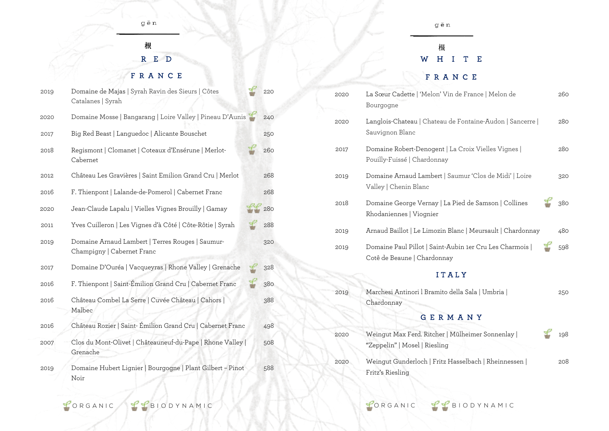### 根 R E D FRANC E

| 2019 | Domaine de Majas   Syrah Ravin des Sieurs   Côtes<br>Catalanes   Syrah         | 220 |  |
|------|--------------------------------------------------------------------------------|-----|--|
| 2020 | Domaine Mosse   Bangarang   Loire Valley   Pineau D'Aunis                      |     |  |
| 2017 | Big Red Beast   Languedoc   Alicante Bouschet                                  |     |  |
| 2018 | Regismont   Clomanet   Coteaux d'Ensérune   Merlot-<br>Cabernet                | 260 |  |
| 2012 | Château Les Gravières   Saint Emilion Grand Cru   Merlot                       | 268 |  |
| 2016 | F. Thienpont   Lalande-de-Pomerol   Cabernet Franc                             | 268 |  |
| 2020 | Jean-Claude Lapalu   Vielles Vignes Brouilly   Gamay                           | 280 |  |
| 2011 | Yves Cuilleron   Les Vignes d'à Côté   Côte-Rôtie   Syrah                      | 288 |  |
| 2019 | Domaine Arnaud Lambert   Terres Rouges   Saumur-<br>Champigny   Cabernet Franc | 320 |  |
| 2017 | Domaine D'Ouréa   Vacqueyras   Rhone Valley   Grenache                         | 328 |  |
| 2016 | F. Thienpont   Saint-Émilion Grand Cru   Cabernet Franc                        | 380 |  |
| 2016 | Château Combel La Serre   Cuvée Château   Cahors  <br>Malbec                   | 388 |  |
| 2016 | Château Rozier   Saint-Émilion Grand Cru   Cabernet Franc                      | 498 |  |
| 2007 | Clos du Mont-Olivet   Châteauneuf-du-Pape   Rhone Valley  <br>Grenache         |     |  |
| 2019 | Domaine Hubert Lignier   Bourgogne   Plant Gilbert - Pinot<br>Noir             | 588 |  |

gēn

# 根<br>W H I T E

### FRANC E

| 2020 | La Sœur Cadette   'Melon' Vin de France   Melon de<br>Bourgogne                         |     |  |
|------|-----------------------------------------------------------------------------------------|-----|--|
| 2020 | Langlois-Chateau   Chateau de Fontaine-Audon   Sancerre  <br>Sauvignon Blanc            | 280 |  |
| 2017 | Domaine Robert-Denogent   La Croix Vielles Vignes  <br>Pouilly-Fuissé   Chardonnay      | 280 |  |
| 2019 | Domaine Arnaud Lambert   Saumur 'Clos de Midi'   Loire<br>Valley   Chenin Blanc         | 320 |  |
| 2018 | Domaine George Vernay   La Pied de Samson   Collines<br>Rhodaniennes   Viognier         | 380 |  |
| 2019 | Arnaud Baillot   Le Limozin Blanc   Meursault   Chardonnay                              | 480 |  |
| 2019 | Domaine Paul Pillot   Saint-Aubin 1er Cru Les Charmois  <br>Cotê de Beaune   Chardonnay | 598 |  |
|      | ITALY                                                                                   |     |  |
| 2019 | Marchesi Antinori l Bramito della Sala   Umbria  <br>Chardonnay                         | 250 |  |
|      | GERMANY                                                                                 |     |  |
| 2020 | Weingut Max Ferd. Ritcher   Mülheimer Sonnenlay  <br>"Zeppelin"   Mosel   Riesling      | 198 |  |
| 2020 | Weingut Gunderloch   Fritz Hasselbach   Rheinnessen  <br>Fritz's Riesling               | 208 |  |

CORGANIC CHE BIODYNAMIC CORGANIC CHE BIODYNAMIC